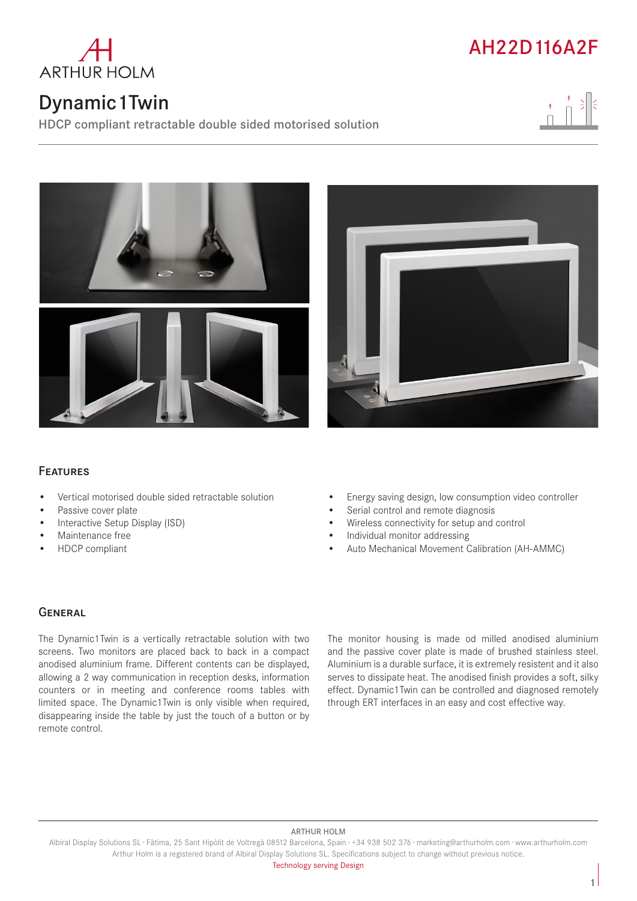

# Dynamic1Twin

HDCP compliant retractable double sided motorised solution









# Features

- Vertical motorised double sided retractable solution
- Passive cover plate
- Interactive Setup Display (ISD)
- Maintenance free
- HDCP compliant
- Energy saving design, low consumption video controller
- Serial control and remote diagnosis
- Wireless connectivity for setup and control
- Individual monitor addressing
- Auto Mechanical Movement Calibration (AH-AMMC)

## **GENERAL**

The Dynamic1Twin is a vertically retractable solution with two screens. Two monitors are placed back to back in a compact anodised aluminium frame. Different contents can be displayed, allowing a 2 way communication in reception desks, information counters or in meeting and conference rooms tables with limited space. The Dynamic1Twin is only visible when required, disappearing inside the table by just the touch of a button or by remote control.

The monitor housing is made od milled anodised aluminium and the passive cover plate is made of brushed stainless steel. Aluminium is a durable surface, it is extremely resistent and it also serves to dissipate heat. The anodised finish provides a soft, silky effect. Dynamic1Twin can be controlled and diagnosed remotely through ERT interfaces in an easy and cost effective way.

#### ARTHUR HOLM

Albiral Display Solutions SL · Fàtima, 25 Sant Hipòlit de Voltregà 08512 Barcelona, Spain · +34 938 502 376 · marketing@arthurholm.com · www.arthurholm.com Arthur Holm is a registered brand of Albiral Display Solutions SL. Specifications subject to change without previous notice.

Technology serving Design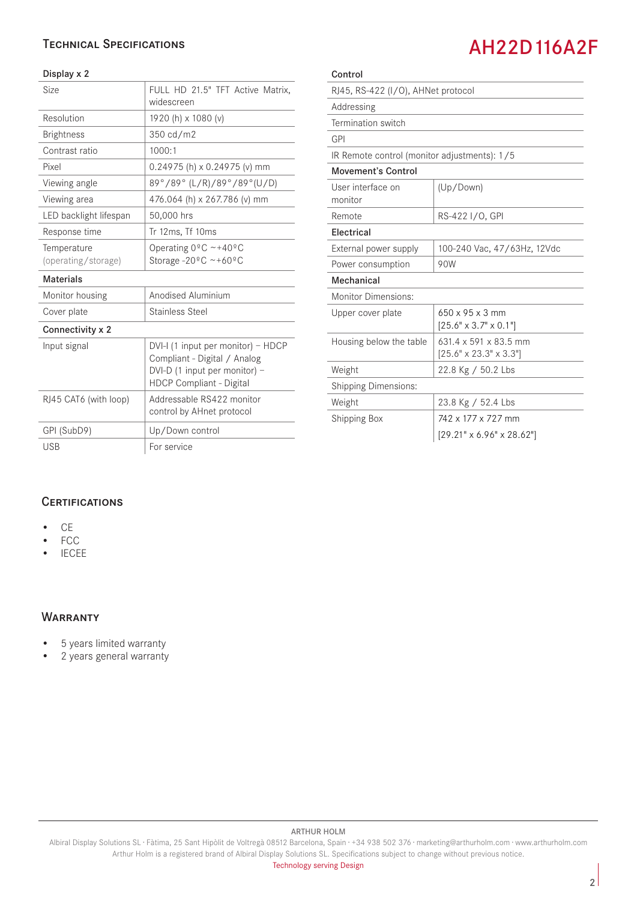## Technical Specifications

### Display x 2

| FULL HD 21.5" TFT Active Matrix,<br>widescreen                                                                                  |
|---------------------------------------------------------------------------------------------------------------------------------|
| 1920 (h) x 1080 (v)                                                                                                             |
| 350 cd/m2                                                                                                                       |
| 1000:1                                                                                                                          |
| $0.24975$ (h) x $0.24975$ (v) mm                                                                                                |
| 89°/89° (L/R)/89°/89° (U/D)                                                                                                     |
| 476.064 (h) x 267.786 (v) mm                                                                                                    |
| 50,000 hrs                                                                                                                      |
| Tr 12ms, Tf 10ms                                                                                                                |
| Operating $0^{\circ}$ C ~+40°C<br>Storage -20 $^{\circ}$ C ~+60 $^{\circ}$ C                                                    |
|                                                                                                                                 |
|                                                                                                                                 |
| Anodised Aluminium                                                                                                              |
| <b>Stainless Steel</b>                                                                                                          |
|                                                                                                                                 |
| DVI-I (1 input per monitor) - HDCP<br>Compliant - Digital / Analog<br>DVI-D (1 input per monitor) -<br>HDCP Compliant - Digital |
| Addressable RS422 monitor<br>control by AHnet protocol                                                                          |
| Up/Down control                                                                                                                 |
|                                                                                                                                 |

# AH22D116A2F

| Control                                      |                                                                         |
|----------------------------------------------|-------------------------------------------------------------------------|
| RJ45, RS-422 (I/O), AHNet protocol           |                                                                         |
| Addressing                                   |                                                                         |
| Termination switch                           |                                                                         |
| GPI                                          |                                                                         |
| IR Remote control (monitor adjustments): 1/5 |                                                                         |
| <b>Movement's Control</b>                    |                                                                         |
| User interface on<br>monitor                 | (Up/Down)                                                               |
| Remote                                       | RS-422 I/O, GPI                                                         |
| Electrical                                   |                                                                         |
| External power supply                        | 100-240 Vac, 47/63Hz, 12Vdc                                             |
| Power consumption                            | 90W                                                                     |
| Mechanical                                   |                                                                         |
| <b>Monitor Dimensions:</b>                   |                                                                         |
| Upper cover plate                            | $650 \times 95 \times 3$ mm<br>$[25.6" \times 3.7" \times 0.1"]$        |
| Housing below the table                      | $631.4 \times 591 \times 83.5$ mm<br>$[25.6" \times 23.3" \times 3.3"]$ |
| Weight                                       | 22.8 Kg / 50.2 Lbs                                                      |
| <b>Shipping Dimensions:</b>                  |                                                                         |
| Weight                                       | 23.8 Kg / 52.4 Lbs                                                      |
| <b>Shipping Box</b>                          | 742 x 177 x 727 mm                                                      |
|                                              | $[29.21" \times 6.96" \times 28.62"]$                                   |

## **CERTIFICATIONS**

- CE
- FCC
- IECEE

### **WARRANTY**

- 5 years limited warranty
- 2 years general warranty

#### ARTHUR HOLM

Albiral Display Solutions SL · Fàtima, 25 Sant Hipòlit de Voltregà 08512 Barcelona, Spain · +34 938 502 376 · marketing@arthurholm.com · www.arthurholm.com Arthur Holm is a registered brand of Albiral Display Solutions SL. Specifications subject to change without previous notice.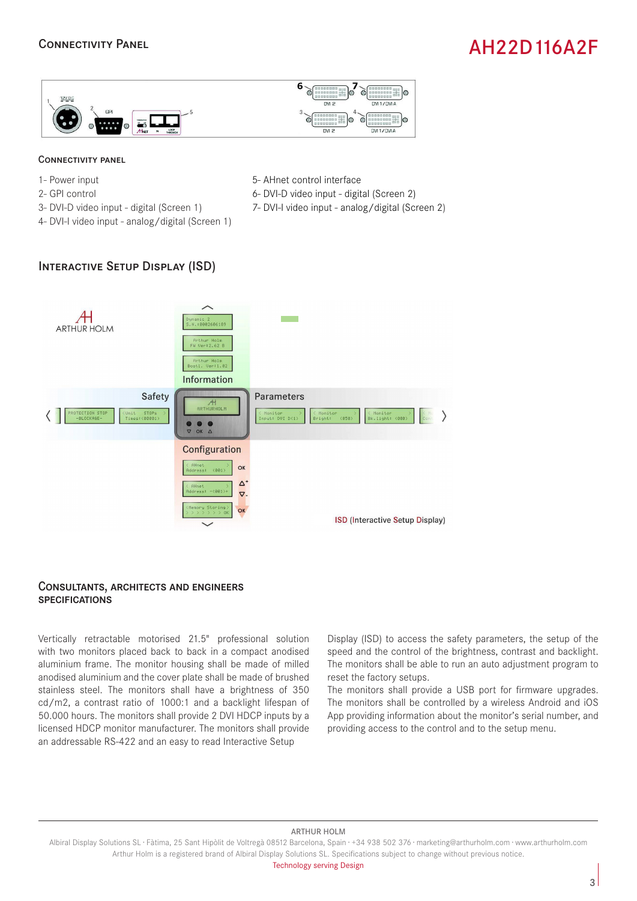## Connectivity Panel

# AH22D116A2F



### Connectivity panel

- 1- Power input
- 2- GPI control
- 3- DVI-D video input digital (Screen 1)
- 4- DVI-I video input analog/digital (Screen 1)
- 5- AHnet control interface
- 6- DVI-D video input digital (Screen 2)
- 7- DVI-I video input analog/digital (Screen 2)

## Interactive Setup Display (ISD)



### Consultants, architects and engineers **SPECIFICATIONS**

Vertically retractable motorised 21.5" professional solution with two monitors placed back to back in a compact anodised aluminium frame. The monitor housing shall be made of milled anodised aluminium and the cover plate shall be made of brushed stainless steel. The monitors shall have a brightness of 350 cd/m2, a contrast ratio of 1000:1 and a backlight lifespan of 50.000 hours. The monitors shall provide 2 DVI HDCP inputs by a licensed HDCP monitor manufacturer. The monitors shall provide an addressable RS-422 and an easy to read Interactive Setup

Display (ISD) to access the safety parameters, the setup of the speed and the control of the brightness, contrast and backlight. The monitors shall be able to run an auto adjustment program to reset the factory setups.

The monitors shall provide a USB port for firmware upgrades. The monitors shall be controlled by a wireless Android and iOS App providing information about the monitor's serial number, and providing access to the control and to the setup menu.

#### ARTHUR HOLM

Technology serving Design

Albiral Display Solutions SL · Fàtima, 25 Sant Hipòlit de Voltregà 08512 Barcelona, Spain · +34 938 502 376 · marketing@arthurholm.com · www.arthurholm.com Arthur Holm is a registered brand of Albiral Display Solutions SL. Specifications subject to change without previous notice.